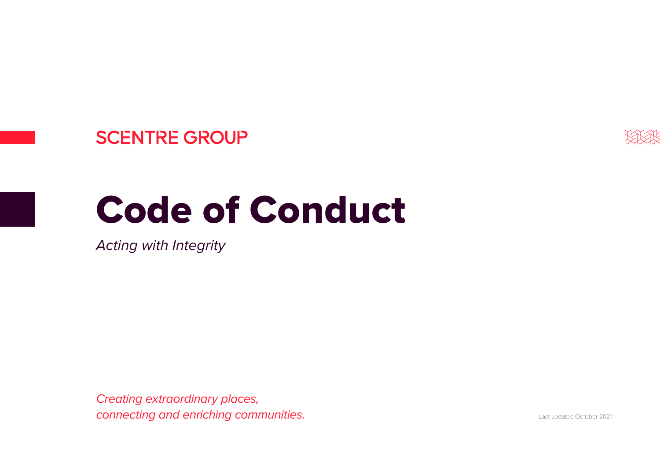# **SCENTRE GROUP**



# Code of Conduct

*Acting with Integrity*

*Creating extraordinary places, connecting and enriching communities.*

Last updated October 2021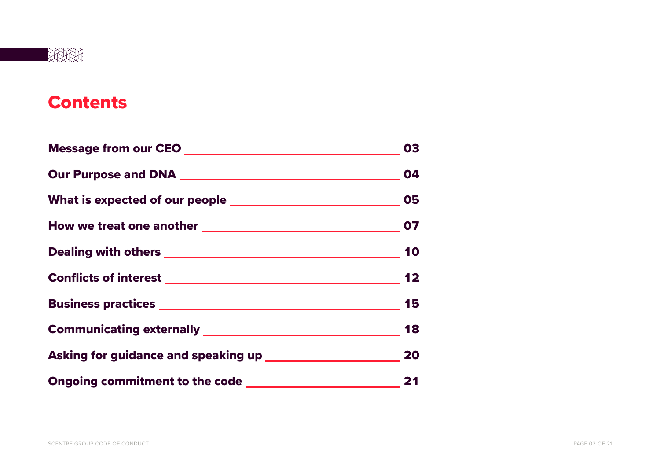

# **Contents**

|                                                                       | 03 |
|-----------------------------------------------------------------------|----|
|                                                                       |    |
| What is expected of our people ___________________________________ 05 |    |
|                                                                       |    |
|                                                                       |    |
|                                                                       |    |
|                                                                       |    |
|                                                                       |    |
|                                                                       |    |
|                                                                       |    |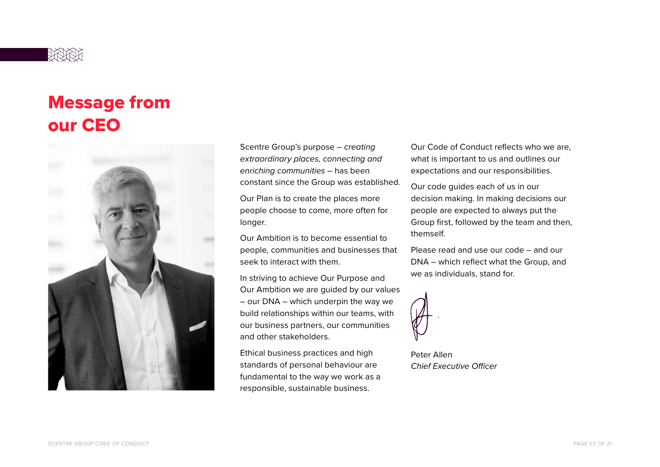

# Message from our CEO



Scentre Group's purpose – *creating extraordinary places, connecting and enriching communities* – has been constant since the Group was established.

Our Plan is to create the places more people choose to come, more often for longer.

Our Ambition is to become essential to people, communities and businesses that seek to interact with them.

In striving to achieve Our Purpose and Our Ambition we are guided by our values – our DNA – which underpin the way we build relationships within our teams, with our business partners, our communities and other stakeholders.

Ethical business practices and high standards of personal behaviour are fundamental to the way we work as a responsible, sustainable business.

Our Code of Conduct reflects who we are, what is important to us and outlines our expectations and our responsibilities.

Our code guides each of us in our decision making. In making decisions our people are expected to always put the Group first, followed by the team and then, themself.

Please read and use our code – and our DNA – which reflect what the Group, and we as individuals, stand for.

Peter Allen *Chief Executive Officer*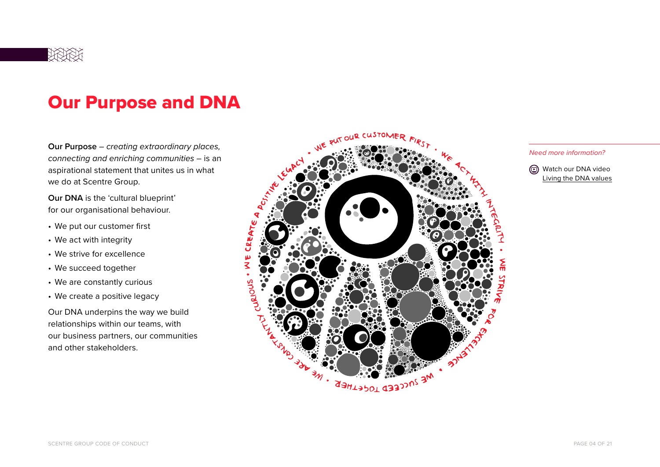

# Our Purpose and DNA

**Our Purpose** – *creating extraordinary places, connecting and enriching communities* – is an aspirational statement that unites us in what we do at Scentre Group.

**Our DNA** is the 'cultural blueprint' for our organisational behaviour.

- We put our customer first
- We act with integrity
- We strive for excellence
- We succeed together
- We are constantly curious
- We create a positive legacy

Our DNA underpins the way we build relationships within our teams, with our business partners, our communities and other stakeholders.





Living the DNA values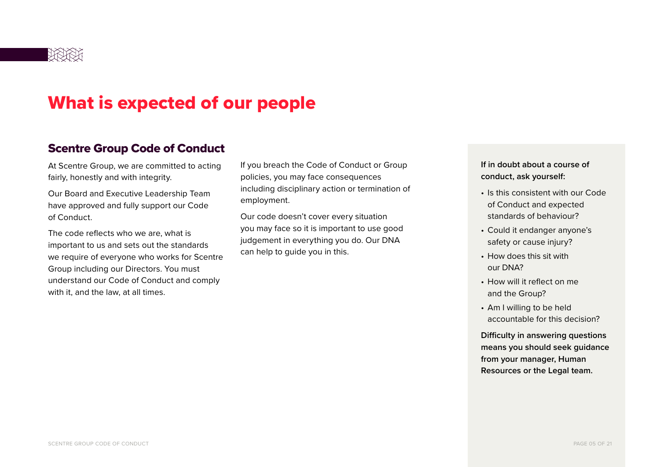

# What is expected of our people

### Scentre Group Code of Conduct

At Scentre Group, we are committed to acting fairly, honestly and with integrity.

Our Board and Executive Leadership Team have approved and fully support our Code of Conduct.

The code reflects who we are, what is important to us and sets out the standards we require of everyone who works for Scentre Group including our Directors. You must understand our Code of Conduct and comply with it, and the law, at all times.

If you breach the Code of Conduct or Group policies, you may face consequences including disciplinary action or termination of employment.

Our code doesn't cover every situation you may face so it is important to use good judgement in everything you do. Our DNA can help to guide you in this.

**If in doubt about a course of conduct, ask yourself:**

- Is this consistent with our Code of Conduct and expected standards of behaviour?
- Could it endanger anyone's safety or cause injury?
- How does this sit with our DNA?
- How will it reflect on me and the Group?
- Am I willing to be held accountable for this decision?

**Difficulty in answering questions means you should seek guidance from your manager, Human Resources or the Legal team.**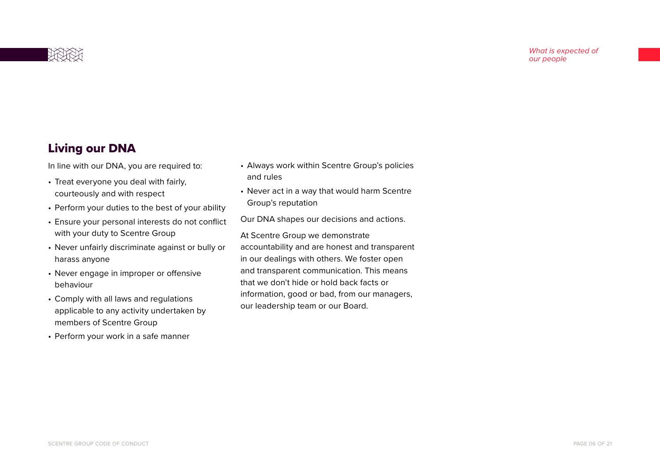

# Living our DNA

In line with our DNA, you are required to:

- Treat everyone you deal with fairly, courteously and with respect
- Perform your duties to the best of your ability
- Ensure your personal interests do not conflict with your duty to Scentre Group
- Never unfairly discriminate against or bully or harass anyone
- Never engage in improper or offensive behaviour
- Comply with all laws and regulations applicable to any activity undertaken by members of Scentre Group
- Perform your work in a safe manner
- Always work within Scentre Group's policies and rules
- Never act in a way that would harm Scentre Group's reputation

Our DNA shapes our decisions and actions.

At Scentre Group we demonstrate accountability and are honest and transparent in our dealings with others. We foster open and transparent communication. This means that we don't hide or hold back facts or information, good or bad, from our managers, our leadership team or our Board.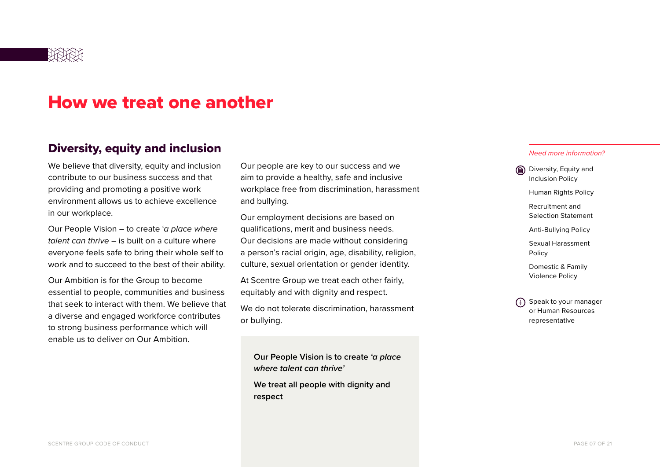

# How we treat one another

### Diversity, equity and inclusion

We believe that diversity, equity and inclusion contribute to our business success and that providing and promoting a positive work environment allows us to achieve excellence in our workplace.

Our People Vision – to create '*a place where talent can thrive* – is built on a culture where everyone feels safe to bring their whole self to work and to succeed to the best of their ability.

Our Ambition is for the Group to become essential to people, communities and business that seek to interact with them. We believe that a diverse and engaged workforce contributes to strong business performance which will enable us to deliver on Our Ambition.

Our people are key to our success and we aim to provide a healthy, safe and inclusive workplace free from discrimination, harassment and bullying.

Our employment decisions are based on qualifications, merit and business needs. Our decisions are made without considering a person's racial origin, age, disability, religion, culture, sexual orientation or gender identity.

At Scentre Group we treat each other fairly, equitably and with dignity and respect.

We do not tolerate discrimination, harassment or bullying.

**Our People Vision is to create** *'a place where talent can thrive'*

**We treat all people with dignity and respect** 

#### *Need more information?*

Diversity, Equity and Inclusion Policy

Human Rights Policy

 Recruitment and Selection Statement

Anti-Bullying Policy

 Sexual Harassment Policy

 Domestic & Family Violence Policy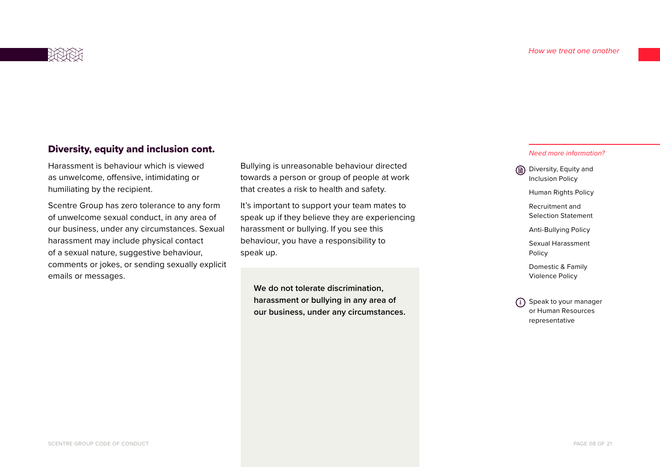

### Diversity, equity and inclusion cont.

Harassment is behaviour which is viewed as unwelcome, offensive, intimidating or humiliating by the recipient.

Scentre Group has zero tolerance to any form of unwelcome sexual conduct, in any area of our business, under any circumstances. Sexual harassment may include physical contact of a sexual nature, suggestive behaviour, comments or jokes, or sending sexually explicit emails or messages.

Bullying is unreasonable behaviour directed towards a person or group of people at work that creates a risk to health and safety.

It's important to support your team mates to speak up if they believe they are experiencing harassment or bullying. If you see this behaviour, you have a responsibility to speak up.

**We do not tolerate discrimination, harassment or bullying in any area of our business, under any circumstances.**

#### *Need more information?*

Diversity, Equity and Inclusion Policy

**Human Rights Policy** 

 Recruitment and Selection Statement

Anti-Bullying Policy

 Sexual Harassment Policy

 Domestic & Family Violence Policy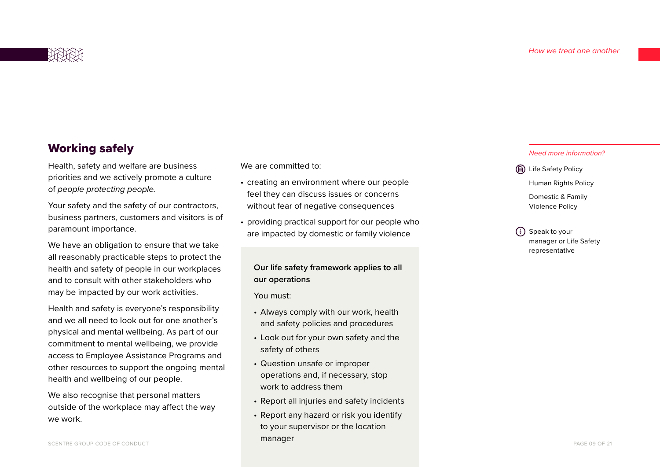

# Working safely

Health, safety and welfare are business priorities and we actively promote a culture of *people protecting people.*

Your safety and the safety of our contractors, business partners, customers and visitors is of paramount importance.

We have an obligation to ensure that we take all reasonably practicable steps to protect the health and safety of people in our workplaces and to consult with other stakeholders who may be impacted by our work activities.

Health and safety is everyone's responsibility and we all need to look out for one another's physical and mental wellbeing. As part of our commitment to mental wellbeing, we provide access to Employee Assistance Programs and other resources to support the ongoing mental health and wellbeing of our people.

We also recognise that personal matters outside of the workplace may affect the way we work.

We are committed to:

- creating an environment where our people feel they can discuss issues or concerns without fear of negative consequences
- providing practical support for our people who are impacted by domestic or family violence

### **Our life safety framework applies to all our operations**

You must:

- Always comply with our work, health and safety policies and procedures
- Look out for your own safety and the safety of others
- Question unsafe or improper operations and, if necessary, stop work to address them
- Report all injuries and safety incidents
- Report any hazard or risk you identify to your supervisor or the location manager

#### *Need more information?*

**(B)** Life Safety Policy Human Rights Policy Domestic & Family

Violence Policy

 Speak to your manager or Life Safety representative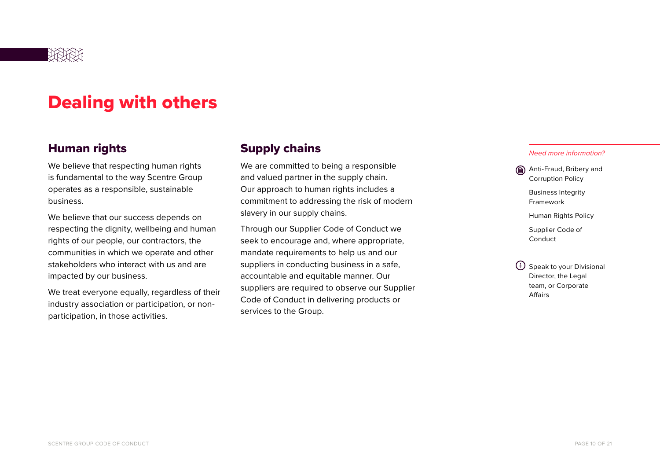

# Dealing with others

# Human rights

We believe that respecting human rights is fundamental to the way Scentre Group operates as a responsible, sustainable business.

We believe that our success depends on respecting the dignity, wellbeing and human rights of our people, our contractors, the communities in which we operate and other stakeholders who interact with us and are impacted by our business.

We treat everyone equally, regardless of their industry association or participation, or nonparticipation, in those activities.

# Supply chains

We are committed to being a responsible and valued partner in the supply chain. Our approach to human rights includes a commitment to addressing the risk of modern slavery in our supply chains.

Through our Supplier Code of Conduct we seek to encourage and, where appropriate, mandate requirements to help us and our suppliers in conducting business in a safe, accountable and equitable manner. Our suppliers are required to observe our Supplier Code of Conduct in delivering products or services to the Group.

 *Need more information?*

Anti-Fraud, Bribery and Corruption Policy Business Integrity

Framework

Human Rights Policy

 Supplier Code of Conduct

 $\binom{1}{k}$  Speak to your Divisional Director, the Legal team, or Corporate Affairs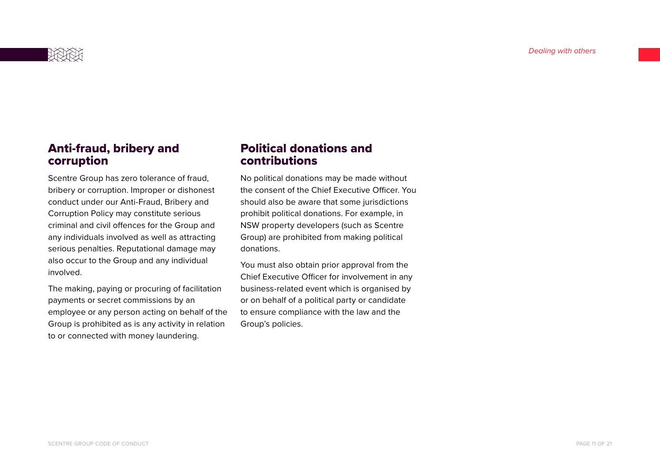

# Anti-fraud, bribery and corruption

Scentre Group has zero tolerance of fraud, bribery or corruption. Improper or dishonest conduct under our Anti-Fraud, Bribery and Corruption Policy may constitute serious criminal and civil offences for the Group and any individuals involved as well as attracting serious penalties. Reputational damage may also occur to the Group and any individual involved.

The making, paying or procuring of facilitation payments or secret commissions by an employee or any person acting on behalf of the Group is prohibited as is any activity in relation to or connected with money laundering.

# Political donations and contributions

No political donations may be made without the consent of the Chief Executive Officer. You should also be aware that some jurisdictions prohibit political donations. For example, in NSW property developers (such as Scentre Group) are prohibited from making political donations.

You must also obtain prior approval from the Chief Executive Officer for involvement in any business-related event which is organised by or on behalf of a political party or candidate to ensure compliance with the law and the Group's policies.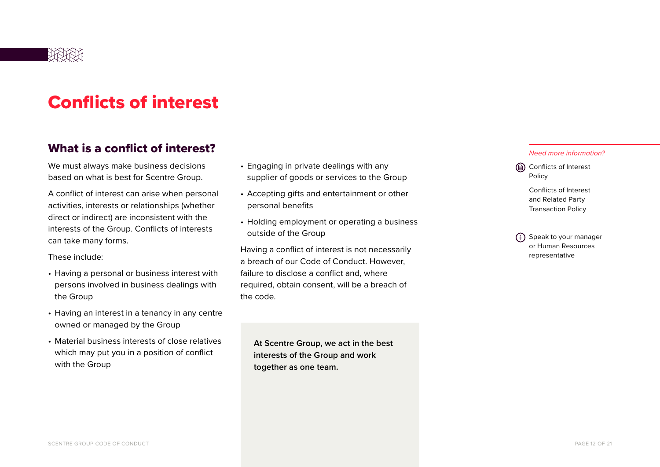

# Conflicts of interest

# What is a conflict of interest?

We must always make business decisions based on what is best for Scentre Group.

A conflict of interest can arise when personal activities, interests or relationships (whether direct or indirect) are inconsistent with the interests of the Group. Conflicts of interests can take many forms.

These include:

- Having a personal or business interest with persons involved in business dealings with the Group
- Having an interest in a tenancy in any centre owned or managed by the Group
- Material business interests of close relatives which may put you in a position of conflict with the Group
- Engaging in private dealings with any supplier of goods or services to the Group
- Accepting gifts and entertainment or other personal benefits
- Holding employment or operating a business outside of the Group

Having a conflict of interest is not necessarily a breach of our Code of Conduct. However, failure to disclose a conflict and, where required, obtain consent, will be a breach of the code.

**At Scentre Group, we act in the best interests of the Group and work together as one team.**

#### *Need more information?*

Conflicts of Interest Policy

> Conflicts of Interest and Related Party Transaction Policy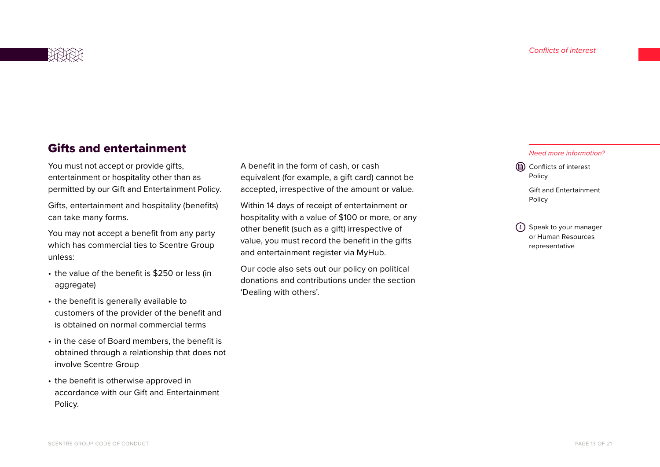

# Gifts and entertainment

You must not accept or provide gifts, entertainment or hospitality other than as permitted by our Gift and Entertainment Policy.

Gifts, entertainment and hospitality (benefits) can take many forms.

You may not accept a benefit from any party which has commercial ties to Scentre Group unless:

- the value of the benefit is \$250 or less (in aggregate)
- the benefit is generally available to customers of the provider of the benefit and is obtained on normal commercial terms
- in the case of Board members, the benefit is obtained through a relationship that does not involve Scentre Group
- the benefit is otherwise approved in accordance with our Gift and Entertainment Policy.

A benefit in the form of cash, or cash equivalent (for example, a gift card) cannot be accepted, irrespective of the amount or value.

Within 14 days of receipt of entertainment or hospitality with a value of \$100 or more, or any other benefit (such as a gift) irrespective of value, you must record the benefit in the gifts and entertainment register via MyHub.

Our code also sets out our policy on political donations and contributions under the section 'Dealing with others'.

#### *Need more information?*

**(a)** Conflicts of interest Policy

> Gift and Entertainment Policy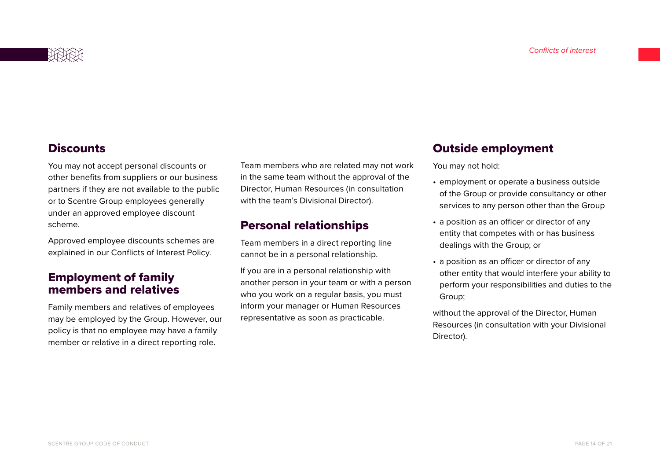# **Discounts**

You may not accept personal discounts or other benefits from suppliers or our business partners if they are not available to the public or to Scentre Group employees generally under an approved employee discount scheme.

Approved employee discounts schemes are explained in our Conflicts of Interest Policy.

# Employment of family members and relatives

Family members and relatives of employees may be employed by the Group. However, our policy is that no employee may have a family member or relative in a direct reporting role.

Team members who are related may not work in the same team without the approval of the Director, Human Resources (in consultation with the team's Divisional Director).

# Personal relationships

Team members in a direct reporting line cannot be in a personal relationship.

If you are in a personal relationship with another person in your team or with a person who you work on a regular basis, you must inform your manager or Human Resources representative as soon as practicable.

## Outside employment

You may not hold:

- employment or operate a business outside of the Group or provide consultancy or other services to any person other than the Group
- a position as an officer or director of any entity that competes with or has business dealings with the Group; or
- a position as an officer or director of any other entity that would interfere your ability to perform your responsibilities and duties to the Group;

without the approval of the Director, Human Resources (in consultation with your Divisional Director).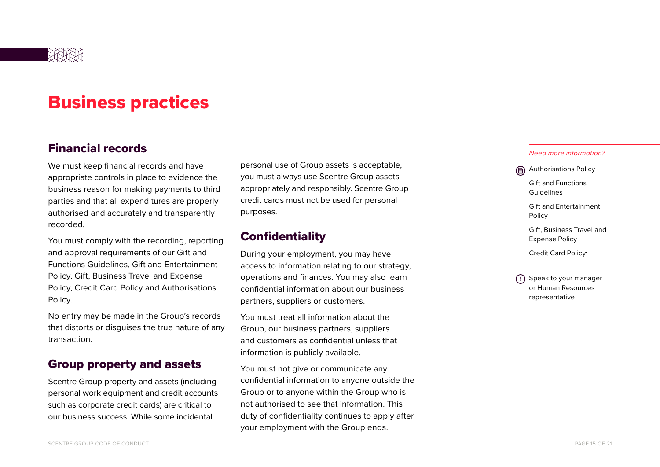

# Business practices

### Financial records

We must keep financial records and have appropriate controls in place to evidence the business reason for making payments to third parties and that all expenditures are properly authorised and accurately and transparently recorded.

You must comply with the recording, reporting and approval requirements of our Gift and Functions Guidelines, Gift and Entertainment Policy, Gift, Business Travel and Expense Policy, Credit Card Policy and Authorisations Policy.

No entry may be made in the Group's records that distorts or disguises the true nature of any transaction.

### Group property and assets

Scentre Group property and assets (including personal work equipment and credit accounts such as corporate credit cards) are critical to our business success. While some incidental

personal use of Group assets is acceptable, you must always use Scentre Group assets appropriately and responsibly. Scentre Group credit cards must not be used for personal purposes.

## **Confidentiality**

During your employment, you may have access to information relating to our strategy, operations and finances. You may also learn confidential information about our business partners, suppliers or customers.

You must treat all information about the Group, our business partners, suppliers and customers as confidential unless that information is publicly available.

You must not give or communicate any confidential information to anyone outside the Group or to anyone within the Group who is not authorised to see that information. This duty of confidentiality continues to apply after your employment with the Group ends.

#### *Need more information?*

Authorisations Policy

 Gift and Functions Guidelines

 Gift and Entertainment Policy

 Gift, Business Travel and Expense Policy

Credit Card Policy.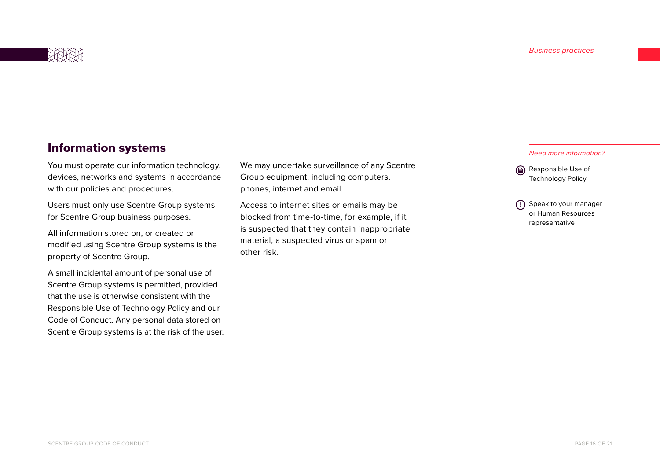

# Information systems

You must operate our information technology, devices, networks and systems in accordance with our policies and procedures.

Users must only use Scentre Group systems for Scentre Group business purposes.

All information stored on, or created or modified using Scentre Group systems is the property of Scentre Group.

A small incidental amount of personal use of Scentre Group systems is permitted, provided that the use is otherwise consistent with the Responsible Use of Technology Policy and our Code of Conduct. Any personal data stored on Scentre Group systems is at the risk of the user. We may undertake surveillance of any Scentre Group equipment, including computers, phones, internet and email.

Access to internet sites or emails may be blocked from time-to-time, for example, if it is suspected that they contain inappropriate material, a suspected virus or spam or other risk.

#### *Need more information?*

Responsible Use of Technology Policy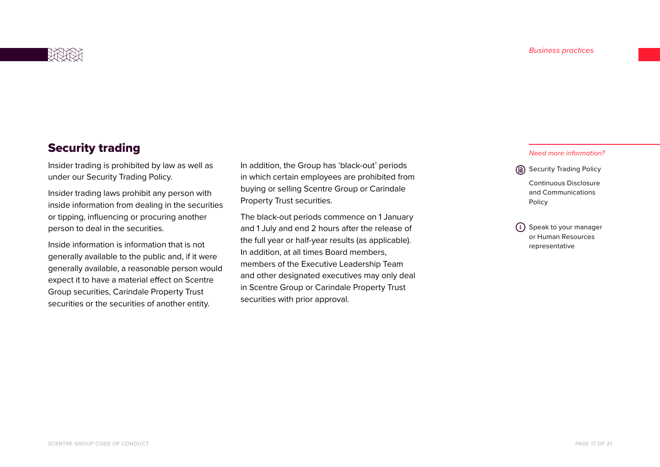

# Security trading

Insider trading is prohibited by law as well as under our Security Trading Policy.

Insider trading laws prohibit any person with inside information from dealing in the securities or tipping, influencing or procuring another person to deal in the securities.

Inside information is information that is not generally available to the public and, if it were generally available, a reasonable person would expect it to have a material effect on Scentre Group securities, Carindale Property Trust securities or the securities of another entity.

In addition, the Group has 'black-out' periods in which certain employees are prohibited from buying or selling Scentre Group or Carindale Property Trust securities.

The black-out periods commence on 1 January and 1 July and end 2 hours after the release of the full year or half-year results (as applicable). In addition, at all times Board members, members of the Executive Leadership Team and other designated executives may only deal in Scentre Group or Carindale Property Trust securities with prior approval.

#### *Need more information?*

Security Trading Policy Continuous Disclosure and Communications Policy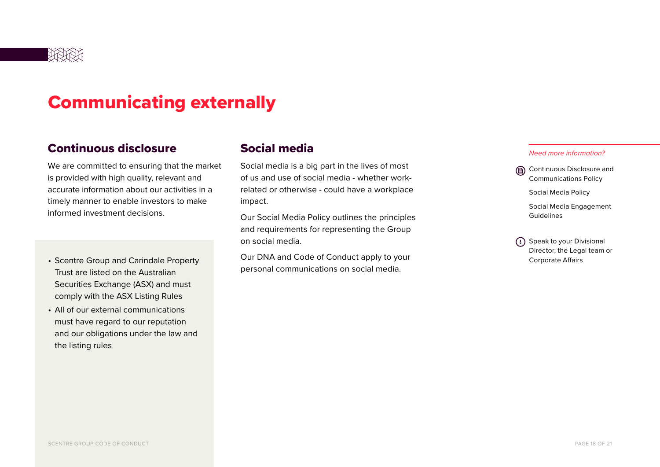

# Communicating externally

### Continuous disclosure

We are committed to ensuring that the market is provided with high quality, relevant and accurate information about our activities in a timely manner to enable investors to make informed investment decisions.

- Scentre Group and Carindale Property Trust are listed on the Australian Securities Exchange (ASX) and must comply with the ASX Listing Rules
- All of our external communications must have regard to our reputation and our obligations under the law and the listing rules

### Social media

Social media is a big part in the lives of most of us and use of social media - whether workrelated or otherwise - could have a workplace impact.

Our Social Media Policy outlines the principles and requirements for representing the Group on social media.

Our DNA and Code of Conduct apply to your personal communications on social media.

#### *Need more information?*

- Continuous Disclosure and Communications Policy
	- Social Media Policy
	- Social Media Engagement Guidelines
- (i) Speak to your Divisional Director, the Legal team or Corporate Affairs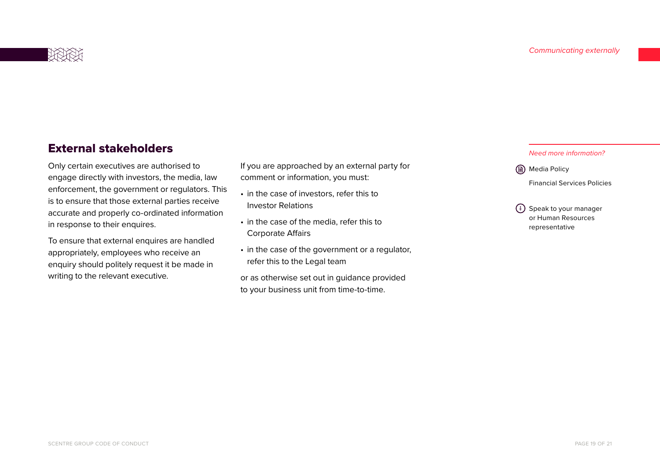

# External stakeholders

Only certain executives are authorised to engage directly with investors, the media, law enforcement, the government or regulators. This is to ensure that those external parties receive accurate and properly co-ordinated information in response to their enquires.

To ensure that external enquires are handled appropriately, employees who receive an enquiry should politely request it be made in writing to the relevant executive.

If you are approached by an external party for comment or information, you must:

- in the case of investors, refer this to Investor Relations
- in the case of the media, refer this to Corporate Affairs
- in the case of the government or a regulator, refer this to the Legal team

or as otherwise set out in guidance provided to your business unit from time-to-time.

 *Need more information?*

**(a)** Media Policy

Financial Services Policies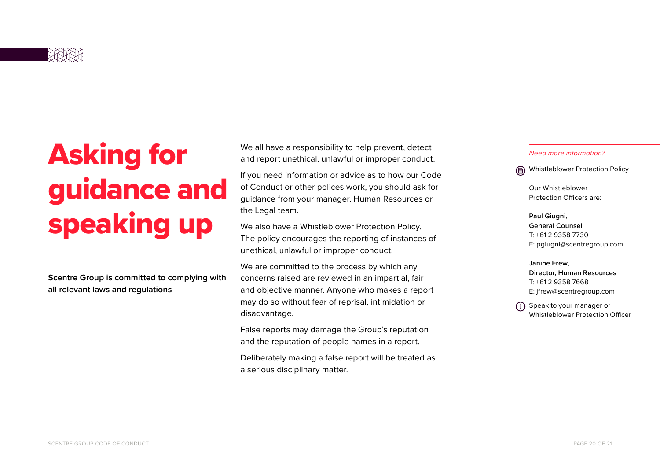

# Asking for guidance and speaking up

**Scentre Group is committed to complying with all relevant laws and regulations**

We all have a responsibility to help prevent, detect and report unethical, unlawful or improper conduct.

If you need information or advice as to how our Code of Conduct or other polices work, you should ask for guidance from your manager, Human Resources or the Legal team.

We also have a Whistleblower Protection Policy. The policy encourages the reporting of instances of unethical, unlawful or improper conduct.

We are committed to the process by which any concerns raised are reviewed in an impartial, fair and objective manner. Anyone who makes a report may do so without fear of reprisal, intimidation or disadvantage.

False reports may damage the Group's reputation and the reputation of people names in a report.

Deliberately making a false report will be treated as a serious disciplinary matter.

#### *Need more information?*

Whistleblower Protection Policy

Our Whistleblower Protection Officers are:

**Paul Giugni, General Counsel** T: +61 2 9358 7730 E: pgiugni@scentregroup.com

**Janine Frew, Director, Human Resources** T: +61 2 9358 7668 E: jfrew@scentregroup.com

(i) Speak to your manager or Whistleblower Protection Officer